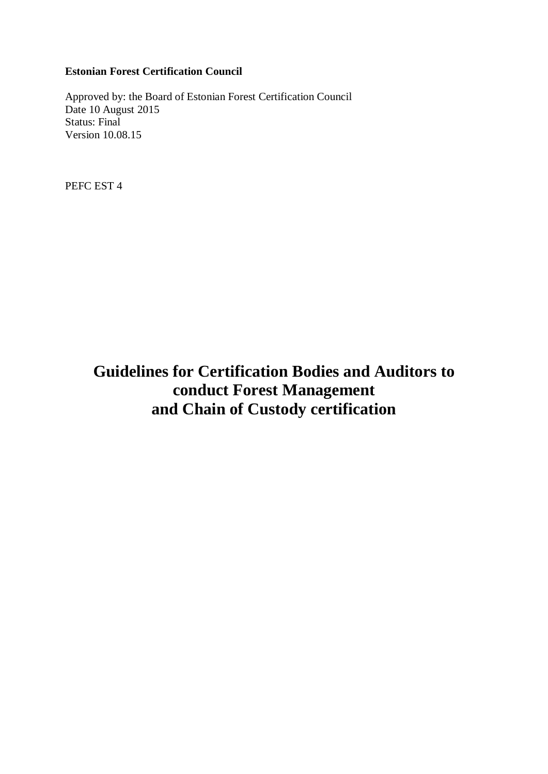# **Estonian Forest Certification Council**

Approved by: the Board of Estonian Forest Certification Council Date 10 August 2015 Status: Final Version 10.08.15

PEFC EST 4

**Guidelines for Certification Bodies and Auditors to conduct Forest Management and Chain of Custody certification**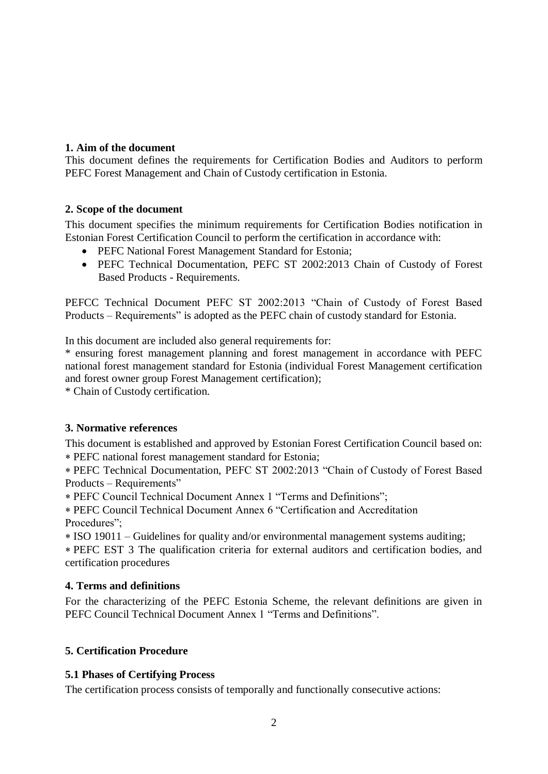# **1. Aim of the document**

This document defines the requirements for Certification Bodies and Auditors to perform PEFC Forest Management and Chain of Custody certification in Estonia.

## **2. Scope of the document**

This document specifies the minimum requirements for Certification Bodies notification in Estonian Forest Certification Council to perform the certification in accordance with:

- PEFC National Forest Management Standard for Estonia;
- PEFC Technical Documentation, PEFC ST 2002:2013 Chain of Custody of Forest Based Products - Requirements.

PEFCC Technical Document PEFC ST 2002:2013 "Chain of Custody of Forest Based Products – Requirements" is adopted as the PEFC chain of custody standard for Estonia.

In this document are included also general requirements for:

\* ensuring forest management planning and forest management in accordance with PEFC national forest management standard for Estonia (individual Forest Management certification and forest owner group Forest Management certification);

\* Chain of Custody certification.

# **3. Normative references**

This document is established and approved by Estonian Forest Certification Council based on: PEFC national forest management standard for Estonia;

PEFC Technical Documentation, PEFC ST 2002:2013 "Chain of Custody of Forest Based Products – Requirements"

PEFC Council Technical Document Annex 1 "Terms and Definitions";

PEFC Council Technical Document Annex 6 "Certification and Accreditation Procedures";

ISO 19011 – Guidelines for quality and/or environmental management systems auditing;

PEFC EST 3 The qualification criteria for external auditors and certification bodies, and certification procedures

# **4. Terms and definitions**

For the characterizing of the PEFC Estonia Scheme, the relevant definitions are given in PEFC Council Technical Document Annex 1 "Terms and Definitions".

# **5. Certification Procedure**

# **5.1 Phases of Certifying Process**

The certification process consists of temporally and functionally consecutive actions: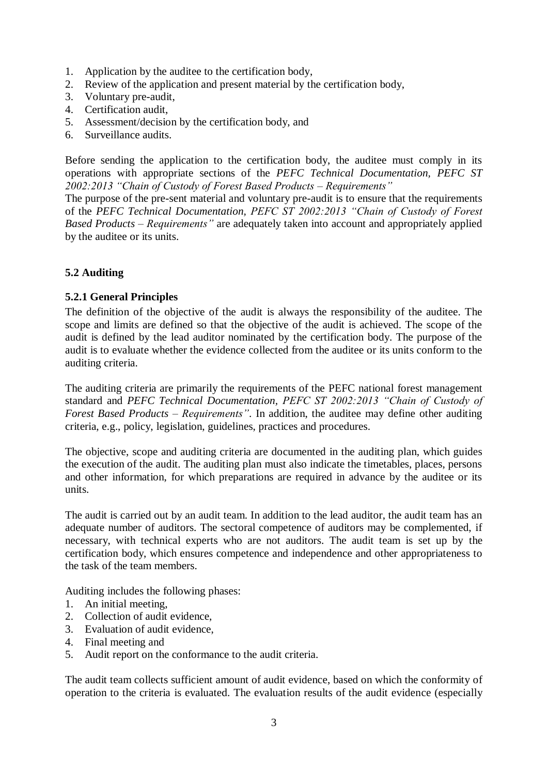- 1. Application by the auditee to the certification body,
- 2. Review of the application and present material by the certification body,
- 3. Voluntary pre-audit,
- 4. Certification audit,
- 5. Assessment/decision by the certification body, and
- 6. Surveillance audits.

Before sending the application to the certification body, the auditee must comply in its operations with appropriate sections of the *PEFC Technical Documentation, PEFC ST 2002:2013 "Chain of Custody of Forest Based Products – Requirements"*

The purpose of the pre-sent material and voluntary pre-audit is to ensure that the requirements of the *PEFC Technical Documentation, PEFC ST 2002:2013 "Chain of Custody of Forest Based Products – Requirements"* are adequately taken into account and appropriately applied by the auditee or its units.

# **5.2 Auditing**

# **5.2.1 General Principles**

The definition of the objective of the audit is always the responsibility of the auditee. The scope and limits are defined so that the objective of the audit is achieved. The scope of the audit is defined by the lead auditor nominated by the certification body. The purpose of the audit is to evaluate whether the evidence collected from the auditee or its units conform to the auditing criteria.

The auditing criteria are primarily the requirements of the PEFC national forest management standard and *PEFC Technical Documentation, PEFC ST 2002:2013 "Chain of Custody of Forest Based Products – Requirements"*. In addition, the auditee may define other auditing criteria, e.g., policy, legislation, guidelines, practices and procedures.

The objective, scope and auditing criteria are documented in the auditing plan, which guides the execution of the audit. The auditing plan must also indicate the timetables, places, persons and other information, for which preparations are required in advance by the auditee or its units.

The audit is carried out by an audit team. In addition to the lead auditor, the audit team has an adequate number of auditors. The sectoral competence of auditors may be complemented, if necessary, with technical experts who are not auditors. The audit team is set up by the certification body, which ensures competence and independence and other appropriateness to the task of the team members.

Auditing includes the following phases:

- 1. An initial meeting,
- 2. Collection of audit evidence,
- 3. Evaluation of audit evidence,
- 4. Final meeting and
- 5. Audit report on the conformance to the audit criteria.

The audit team collects sufficient amount of audit evidence, based on which the conformity of operation to the criteria is evaluated. The evaluation results of the audit evidence (especially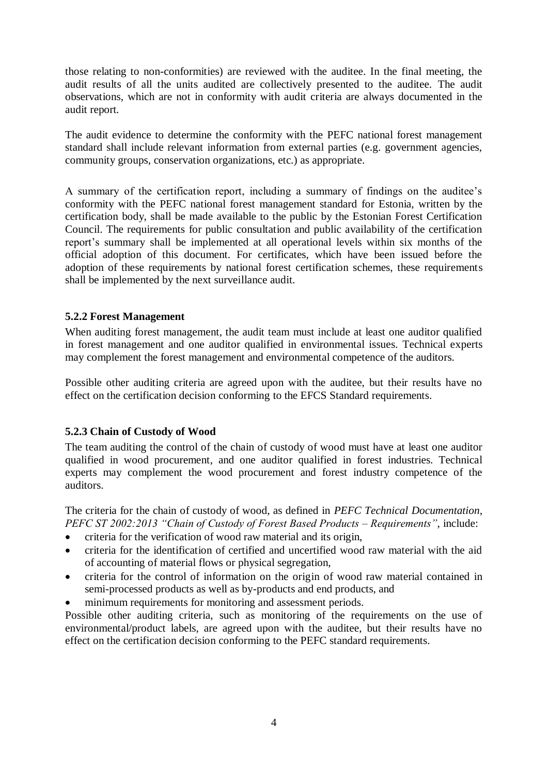those relating to non-conformities) are reviewed with the auditee. In the final meeting, the audit results of all the units audited are collectively presented to the auditee. The audit observations, which are not in conformity with audit criteria are always documented in the audit report.

The audit evidence to determine the conformity with the PEFC national forest management standard shall include relevant information from external parties (e.g. government agencies, community groups, conservation organizations, etc.) as appropriate.

A summary of the certification report, including a summary of findings on the auditee's conformity with the PEFC national forest management standard for Estonia, written by the certification body, shall be made available to the public by the Estonian Forest Certification Council. The requirements for public consultation and public availability of the certification report's summary shall be implemented at all operational levels within six months of the official adoption of this document. For certificates, which have been issued before the adoption of these requirements by national forest certification schemes, these requirements shall be implemented by the next surveillance audit.

## **5.2.2 Forest Management**

When auditing forest management, the audit team must include at least one auditor qualified in forest management and one auditor qualified in environmental issues. Technical experts may complement the forest management and environmental competence of the auditors.

Possible other auditing criteria are agreed upon with the auditee, but their results have no effect on the certification decision conforming to the EFCS Standard requirements.

# **5.2.3 Chain of Custody of Wood**

The team auditing the control of the chain of custody of wood must have at least one auditor qualified in wood procurement, and one auditor qualified in forest industries. Technical experts may complement the wood procurement and forest industry competence of the auditors.

The criteria for the chain of custody of wood, as defined in *PEFC Technical Documentation, PEFC ST 2002:2013 "Chain of Custody of Forest Based Products – Requirements"*, include:

- criteria for the verification of wood raw material and its origin,
- criteria for the identification of certified and uncertified wood raw material with the aid of accounting of material flows or physical segregation,
- criteria for the control of information on the origin of wood raw material contained in semi-processed products as well as by-products and end products, and
- minimum requirements for monitoring and assessment periods.

Possible other auditing criteria, such as monitoring of the requirements on the use of environmental/product labels, are agreed upon with the auditee, but their results have no effect on the certification decision conforming to the PEFC standard requirements.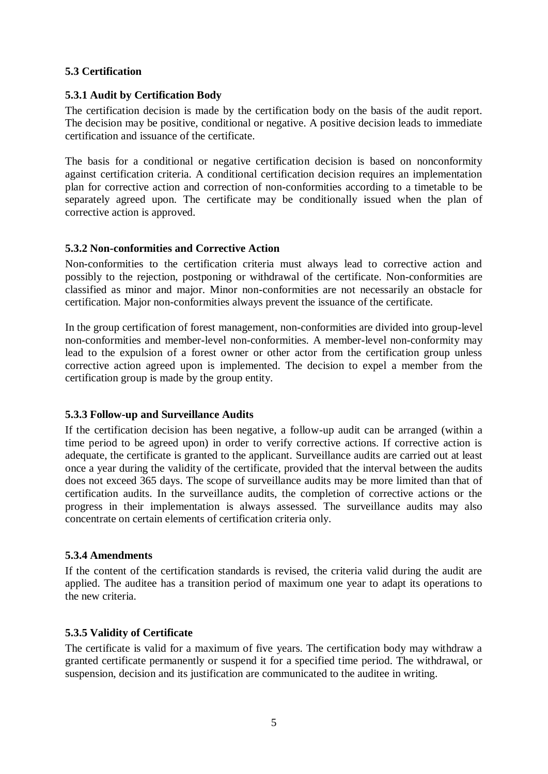## **5.3 Certification**

## **5.3.1 Audit by Certification Body**

The certification decision is made by the certification body on the basis of the audit report. The decision may be positive, conditional or negative. A positive decision leads to immediate certification and issuance of the certificate.

The basis for a conditional or negative certification decision is based on nonconformity against certification criteria. A conditional certification decision requires an implementation plan for corrective action and correction of non-conformities according to a timetable to be separately agreed upon. The certificate may be conditionally issued when the plan of corrective action is approved.

#### **5.3.2 Non-conformities and Corrective Action**

Non-conformities to the certification criteria must always lead to corrective action and possibly to the rejection, postponing or withdrawal of the certificate. Non-conformities are classified as minor and major. Minor non-conformities are not necessarily an obstacle for certification. Major non-conformities always prevent the issuance of the certificate.

In the group certification of forest management, non-conformities are divided into group-level non-conformities and member-level non-conformities. A member-level non-conformity may lead to the expulsion of a forest owner or other actor from the certification group unless corrective action agreed upon is implemented. The decision to expel a member from the certification group is made by the group entity.

#### **5.3.3 Follow-up and Surveillance Audits**

If the certification decision has been negative, a follow-up audit can be arranged (within a time period to be agreed upon) in order to verify corrective actions. If corrective action is adequate, the certificate is granted to the applicant. Surveillance audits are carried out at least once a year during the validity of the certificate, provided that the interval between the audits does not exceed 365 days. The scope of surveillance audits may be more limited than that of certification audits. In the surveillance audits, the completion of corrective actions or the progress in their implementation is always assessed. The surveillance audits may also concentrate on certain elements of certification criteria only.

#### **5.3.4 Amendments**

If the content of the certification standards is revised, the criteria valid during the audit are applied. The auditee has a transition period of maximum one year to adapt its operations to the new criteria.

#### **5.3.5 Validity of Certificate**

The certificate is valid for a maximum of five years. The certification body may withdraw a granted certificate permanently or suspend it for a specified time period. The withdrawal, or suspension, decision and its justification are communicated to the auditee in writing.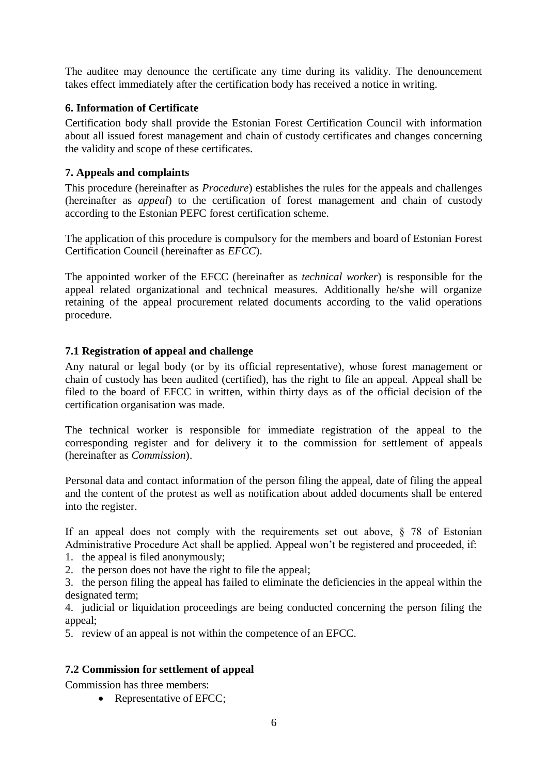The auditee may denounce the certificate any time during its validity. The denouncement takes effect immediately after the certification body has received a notice in writing.

# **6. Information of Certificate**

Certification body shall provide the Estonian Forest Certification Council with information about all issued forest management and chain of custody certificates and changes concerning the validity and scope of these certificates.

# **7. Appeals and complaints**

This procedure (hereinafter as *Procedure*) establishes the rules for the appeals and challenges (hereinafter as *appeal*) to the certification of forest management and chain of custody according to the Estonian PEFC forest certification scheme.

The application of this procedure is compulsory for the members and board of Estonian Forest Certification Council (hereinafter as *EFCC*).

The appointed worker of the EFCC (hereinafter as *technical worker*) is responsible for the appeal related organizational and technical measures. Additionally he/she will organize retaining of the appeal procurement related documents according to the valid operations procedure.

# **7.1 Registration of appeal and challenge**

Any natural or legal body (or by its official representative), whose forest management or chain of custody has been audited (certified), has the right to file an appeal. Appeal shall be filed to the board of EFCC in written, within thirty days as of the official decision of the certification organisation was made.

The technical worker is responsible for immediate registration of the appeal to the corresponding register and for delivery it to the commission for settlement of appeals (hereinafter as *Commission*).

Personal data and contact information of the person filing the appeal, date of filing the appeal and the content of the protest as well as notification about added documents shall be entered into the register.

If an appeal does not comply with the requirements set out above, § 78 of Estonian Administrative Procedure Act shall be applied. Appeal won't be registered and proceeded, if:

- 1. the appeal is filed anonymously;
- 2. the person does not have the right to file the appeal;

3. the person filing the appeal has failed to eliminate the deficiencies in the appeal within the designated term;

4. judicial or liquidation proceedings are being conducted concerning the person filing the appeal;

5. review of an appeal is not within the competence of an EFCC.

# **7.2 Commission for settlement of appeal**

Commission has three members:

• Representative of EFCC;